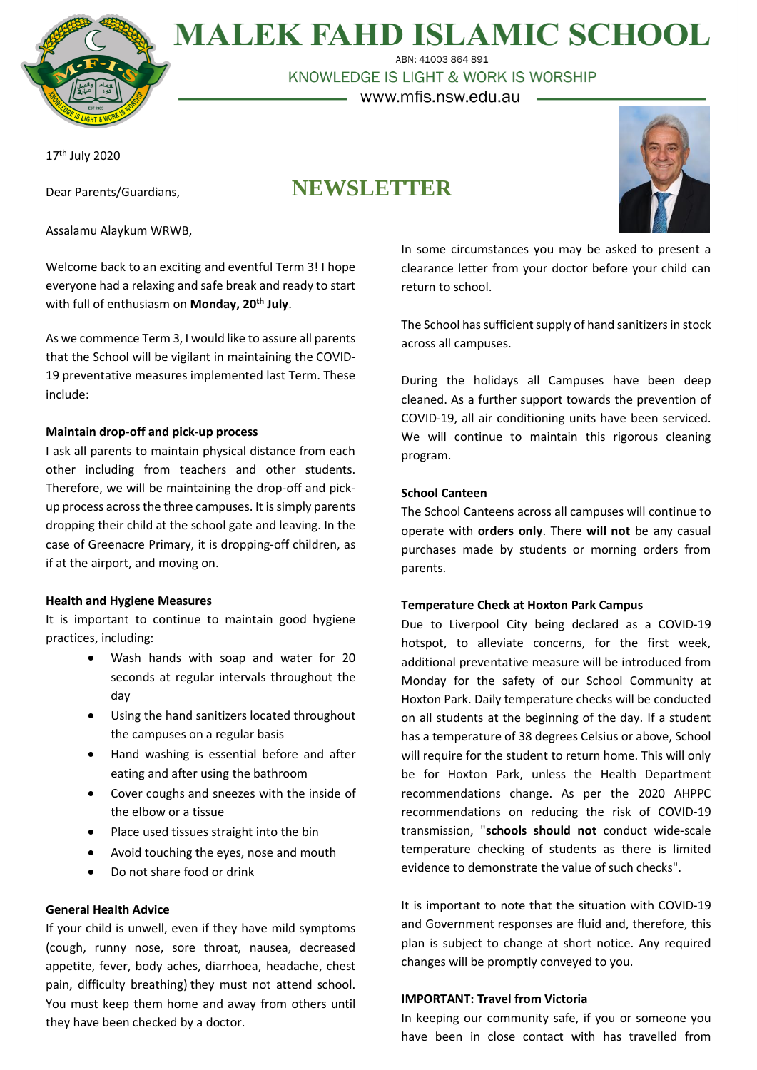

**MALEK FAHD ISLAMIC SCHOOL** 

ABN: 41003 864 891 KNOWLEDGE IS LIGHT & WORK IS WORSHIP

– www.mfis.nsw.edu.au –

17<sup>th</sup> July 2020

Dear Parents/Guardians,

Assalamu Alaykum WRWB,

# **NEWSLETTER**



Welcome back to an exciting and eventful Term 3! I hope everyone had a relaxing and safe break and ready to start with full of enthusiasm on **Monday, 20th July**.

As we commence Term 3, I would like to assure all parents that the School will be vigilant in maintaining the COVID-19 preventative measures implemented last Term. These include:

# **Maintain drop-off and pick-up process**

I ask all parents to maintain physical distance from each other including from teachers and other students. Therefore, we will be maintaining the drop-off and pickup process across the three campuses. It is simply parents dropping their child at the school gate and leaving. In the case of Greenacre Primary, it is dropping-off children, as if at the airport, and moving on.

## **Health and Hygiene Measures**

It is important to continue to maintain good hygiene practices, including:

- Wash hands with soap and water for 20 seconds at regular intervals throughout the day
- Using the hand sanitizers located throughout the campuses on a regular basis
- Hand washing is essential before and after eating and after using the bathroom
- Cover coughs and sneezes with the inside of the elbow or a tissue
- Place used tissues straight into the bin
- Avoid touching the eyes, nose and mouth
- Do not share food or drink

# **General Health Advice**

If your child is unwell, even if they have mild symptoms (cough, runny nose, sore throat, nausea, decreased appetite, fever, body aches, diarrhoea, headache, chest pain, difficulty breathing) they must not attend school. You must keep them home and away from others until they have been checked by a doctor.

In some circumstances you may be asked to present a clearance letter from your doctor before your child can return to school.

The School has sufficient supply of hand sanitizers in stock across all campuses.

During the holidays all Campuses have been deep cleaned. As a further support towards the prevention of COVID-19, all air conditioning units have been serviced. We will continue to maintain this rigorous cleaning program.

# **School Canteen**

The School Canteens across all campuses will continue to operate with **orders only**. There **will not** be any casual purchases made by students or morning orders from parents.

## **Temperature Check at Hoxton Park Campus**

Due to Liverpool City being declared as a COVID-19 hotspot, to alleviate concerns, for the first week, additional preventative measure will be introduced from Monday for the safety of our School Community at Hoxton Park. Daily temperature checks will be conducted on all students at the beginning of the day. If a student has a temperature of 38 degrees Celsius or above, School will require for the student to return home. This will only be for Hoxton Park, unless the Health Department recommendations change. As per the 2020 AHPPC recommendations on reducing the risk of COVID-19 transmission, "**schools should not** conduct wide-scale temperature checking of students as there is limited evidence to demonstrate the value of such checks".

It is important to note that the situation with COVID-19 and Government responses are fluid and, therefore, this plan is subject to change at short notice. Any required changes will be promptly conveyed to you.

## **IMPORTANT: Travel from Victoria**

In keeping our community safe, if you or someone you have been in close contact with has travelled from